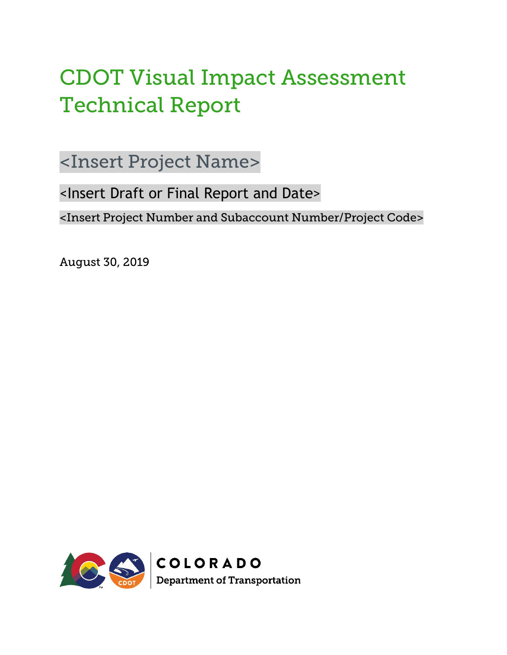# CDOT Visual Impact Assessment Technical Report

<Insert Project Name>

<Insert Draft or Final Report and Date>

<Insert Project Number and Subaccount Number/Project Code>

August 30, 2019

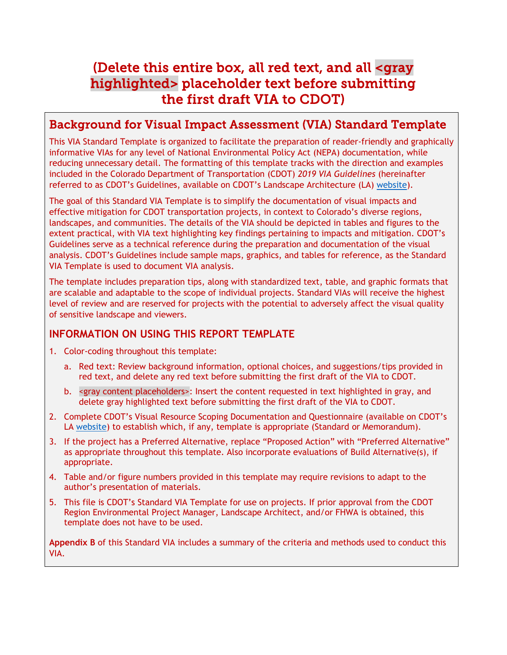## (Delete this entire box, all red text, and all <gray highlighted> placeholder text before submitting the first draft VIA to CDOT)

#### Background for Visual Impact Assessment (VIA) Standard Template

This VIA Standard Template is organized to facilitate the preparation of reader-friendly and graphically informative VIAs for any level of National Environmental Policy Act (NEPA) documentation, while reducing unnecessary detail. The formatting of this template tracks with the direction and examples included in the Colorado Department of Transportation (CDOT) *2019 VIA Guidelines* (hereinafter referred to as CDOT's Guidelines, available on CDOT's Landscape Architecture (LA) [website\)](https://www.codot.gov/programs/environmental/landscape-architecture).

The goal of this Standard VIA Template is to simplify the documentation of visual impacts and effective mitigation for CDOT transportation projects, in context to Colorado's diverse regions, landscapes, and communities. The details of the VIA should be depicted in tables and figures to the extent practical, with VIA text highlighting key findings pertaining to impacts and mitigation. CDOT's Guidelines serve as a technical reference during the preparation and documentation of the visual analysis. CDOT's Guidelines include sample maps, graphics, and tables for reference, as the Standard VIA Template is used to document VIA analysis.

The template includes preparation tips, along with standardized text, table, and graphic formats that are scalable and adaptable to the scope of individual projects. Standard VIAs will receive the highest level of review and are reserved for projects with the potential to adversely affect the visual quality of sensitive landscape and viewers.

#### **INFORMATION ON USING THIS REPORT TEMPLATE**

- 1. Color-coding throughout this template:
	- a. Red text: Review background information, optional choices, and suggestions/tips provided in red text, and delete any red text before submitting the first draft of the VIA to CDOT.
	- b. < gray content placeholders>: Insert the content requested in text highlighted in gray, and delete gray highlighted text before submitting the first draft of the VIA to CDOT.
- 2. Complete CDOT's Visual Resource Scoping Documentation and Questionnaire (available on CDOT's LA [website\)](https://www.codot.gov/programs/environmental/landscape-architecture) to establish which, if any, template is appropriate (Standard or Memorandum).
- 3. If the project has a Preferred Alternative, replace "Proposed Action" with "Preferred Alternative" as appropriate throughout this template. Also incorporate evaluations of Build Alternative(s), if appropriate.
- 4. Table and/or figure numbers provided in this template may require revisions to adapt to the author's presentation of materials.
- 5. This file is CDOT's Standard VIA Template for use on projects. If prior approval from the CDOT Region Environmental Project Manager, Landscape Architect, and/or FHWA is obtained, this template does not have to be used.

**Appendix B** of this Standard VIA includes a summary of the criteria and methods used to conduct this VIA.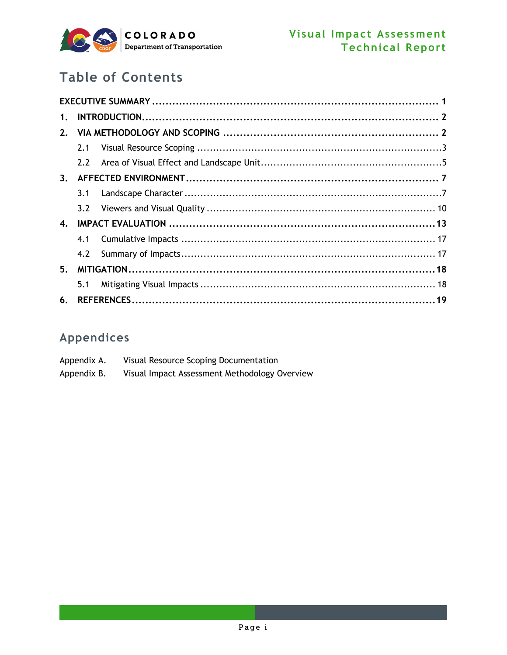

## **Table of Contents**

| $\mathbf{1}$ . |     |  |  |  |  |  |
|----------------|-----|--|--|--|--|--|
| 2.             |     |  |  |  |  |  |
|                | 2.1 |  |  |  |  |  |
|                | 2.2 |  |  |  |  |  |
| 3.             |     |  |  |  |  |  |
|                | 3.1 |  |  |  |  |  |
|                | 3.2 |  |  |  |  |  |
| 4.             |     |  |  |  |  |  |
|                | 4.1 |  |  |  |  |  |
|                | 4.2 |  |  |  |  |  |
|                |     |  |  |  |  |  |
|                | 5.1 |  |  |  |  |  |
| 6.             |     |  |  |  |  |  |

### Appendices

| Appendix A. | Visual Resource Scoping Documentation         |
|-------------|-----------------------------------------------|
| Appendix B. | Visual Impact Assessment Methodology Overview |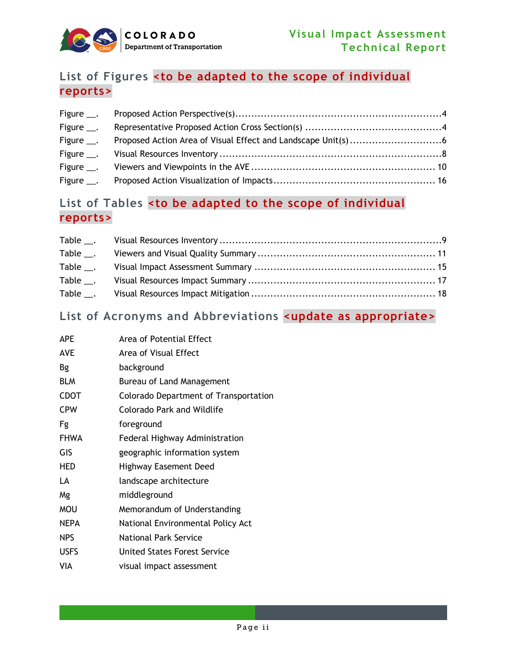

### **List of Figures <to be adapted to the scope of individual reports>**

| Figure $\_\_$ . |  |
|-----------------|--|
| Figure ___.     |  |
| Figure ___.     |  |
|                 |  |
|                 |  |
| Figure $\_\$ .  |  |

#### **List of Tables <to be adapted to the scope of individual reports>**

| Table ___.     |  |
|----------------|--|
| Table $\_\_$ . |  |
| Table $\_\_$   |  |
| $Table$ .      |  |
| $Table$ .      |  |

#### **List of Acronyms and Abbreviations <update as appropriate>**

| <b>APE</b>  | Area of Potential Effect              |
|-------------|---------------------------------------|
| AVE         | Area of Visual Effect                 |
| Bg          | background                            |
| <b>BLM</b>  | Bureau of Land Management             |
| <b>CDOT</b> | Colorado Department of Transportation |
| <b>CPW</b>  | Colorado Park and Wildlife            |
| Fg          | foreground                            |
| <b>FHWA</b> | Federal Highway Administration        |
| GIS         | geographic information system         |
| HED         | <b>Highway Easement Deed</b>          |
| LA          | landscape architecture                |
| Mg          | middleground                          |
| <b>MOU</b>  | Memorandum of Understanding           |
| <b>NEPA</b> | National Environmental Policy Act     |
| <b>NPS</b>  | <b>National Park Service</b>          |
| <b>USFS</b> | United States Forest Service          |
| VIA         | visual impact assessment              |
|             |                                       |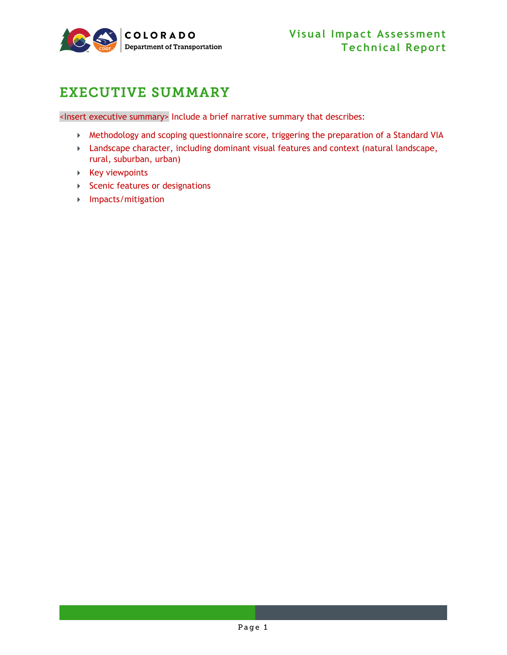

## <span id="page-4-0"></span>EXECUTIVE SUMMARY

<Insert executive summary> Include a brief narrative summary that describes:

- Methodology and scoping questionnaire score, triggering the preparation of a Standard VIA
- Landscape character, including dominant visual features and context (natural landscape, rural, suburban, urban)
- $\triangleright$  Key viewpoints
- Scenic features or designations
- Impacts/mitigation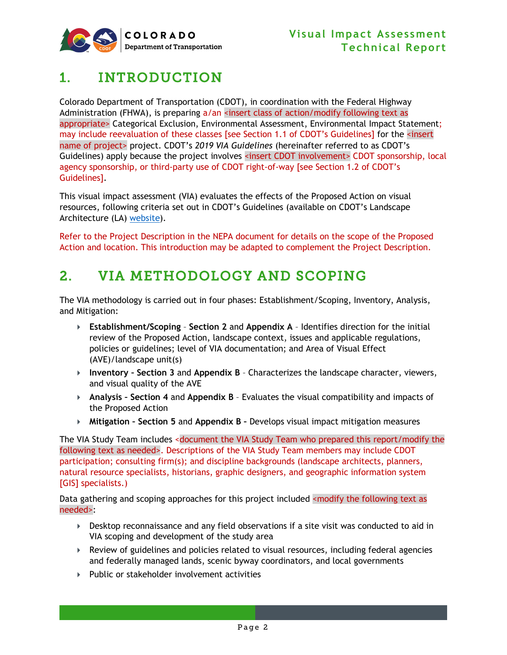

## <span id="page-5-0"></span>1. INTRODUCTION

Colorado Department of Transportation (CDOT), in coordination with the Federal Highway Administration (FHWA), is preparing  $a/an$  <insert class of action/modify following text as appropriate> Categorical Exclusion, Environmental Assessment, Environmental Impact Statement; may include reevaluation of these classes [see Section 1.1 of CDOT's Guidelines] for the <insert name of project> project. CDOT's *2019 VIA Guidelines* (hereinafter referred to as CDOT's Guidelines) apply because the project involves <insert CDOT involvement> CDOT sponsorship, local agency sponsorship, or third-party use of CDOT right-of-way [see Section 1.2 of CDOT's Guidelines].

This visual impact assessment (VIA) evaluates the effects of the Proposed Action on visual resources, following criteria set out in CDOT's Guidelines (available on CDOT's Landscape Architecture (LA) [website\)](https://www.codot.gov/programs/environmental/landscape-architecture).

Refer to the Project Description in the NEPA document for details on the scope of the Proposed Action and location. This introduction may be adapted to complement the Project Description.

## <span id="page-5-1"></span>2. VIA METHODOLOGY AND SCOPING

The VIA methodology is carried out in four phases: Establishment/Scoping, Inventory, Analysis, and Mitigation:

- **Establishment/Scoping Section [2](#page-5-1)** and **[Appendix A](#page-23-0)** Identifies direction for the initial review of the Proposed Action, landscape context, issues and applicable regulations, policies or guidelines; level of VIA documentation; and Area of Visual Effect (AVE)/landscape unit(s)
- **Inventory – Section [3](#page-10-0)** and **[Appendix B](#page-29-0)** Characterizes the landscape character, viewers, and visual quality of the AVE
- **Analysis – Section [4](#page-16-0)** and **[Appendix B](#page-29-0)** Evaluates the visual compatibility and impacts of the Proposed Action
- **Mitigation – Section [5](#page-21-0)** and **[Appendix B](#page-29-0) –** Develops visual impact mitigation measures

The VIA Study Team includes <document the VIA Study Team who prepared this report/modify the following text as needed>. Descriptions of the VIA Study Team members may include CDOT participation; consulting firm(s); and discipline backgrounds (landscape architects, planners, natural resource specialists, historians, graphic designers, and geographic information system [GIS] specialists.)

Data gathering and scoping approaches for this project included <modify the following text as needed>:

- **Desktop reconnaissance and any field observations if a site visit was conducted to aid in** VIA scoping and development of the study area
- Review of guidelines and policies related to visual resources, including federal agencies and federally managed lands, scenic byway coordinators, and local governments
- Public or stakeholder involvement activities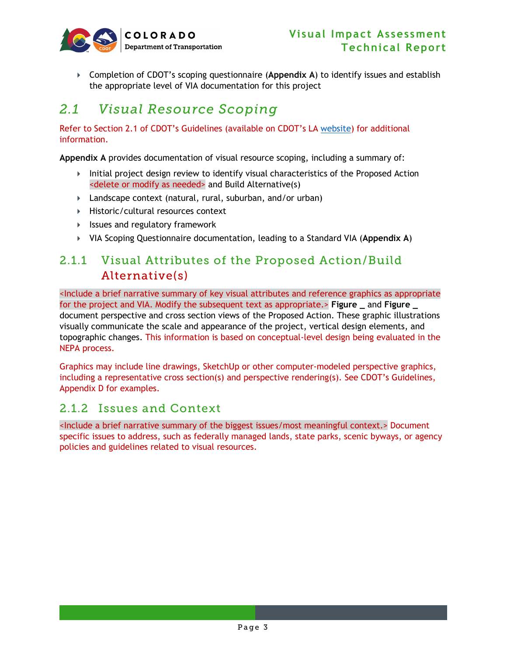

 Completion of CDOT's scoping questionnaire (**[Appendix A](#page-23-0)**) to identify issues and establish the appropriate level of VIA documentation for this project

## <span id="page-6-0"></span>*2.1 Visual Resource Scoping*

Refer to Section 2.1 of CDOT's Guidelines (available on CDOT's LA [website\)](https://www.codot.gov/programs/environmental/landscape-architecture) for additional information.

**[Appendix A](#page-23-0)** provides documentation of visual resource scoping, including a summary of:

- $\blacktriangleright$  Initial project design review to identify visual characteristics of the Proposed Action <delete or modify as needed> and Build Alternative(s)
- Landscape context (natural, rural, suburban, and/or urban)
- ▶ Historic/cultural resources context
- Issues and regulatory framework
- VIA Scoping Questionnaire documentation, leading to a Standard VIA (**[Appendix A](#page-23-0)**)

#### 2.1.1 Visual Attributes of the Proposed Action/Build Alternative(s)

<Include a brief narrative summary of key visual attributes and reference graphics as appropriate for the project and VIA. Modify the subsequent text as appropriate.> **Figure \_** and **Figure \_** document perspective and cross section views of the Proposed Action. These graphic illustrations visually communicate the scale and appearance of the project, vertical design elements, and topographic changes. This information is based on conceptual-level design being evaluated in the NEPA process.

Graphics may include line drawings, SketchUp or other computer-modeled perspective graphics, including a representative cross section(s) and perspective rendering(s). See CDOT's Guidelines, Appendix D for examples.

#### 2.1.2 Issues and Context

<Include a brief narrative summary of the biggest issues/most meaningful context.> Document specific issues to address, such as federally managed lands, state parks, scenic byways, or agency policies and guidelines related to visual resources.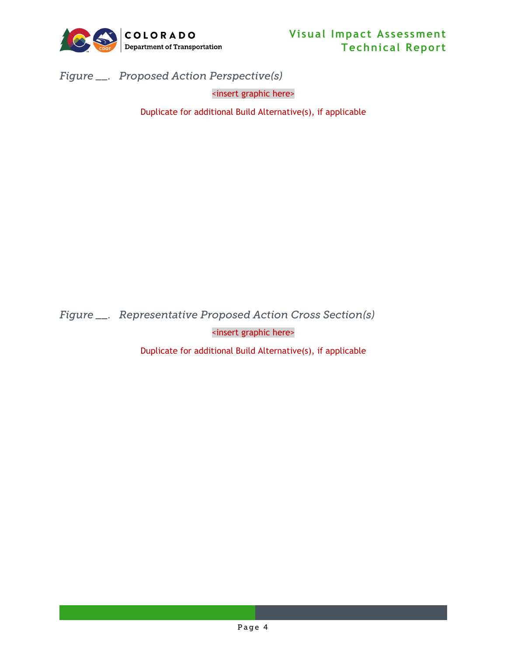

<span id="page-7-0"></span>*Figure \_\_. Proposed Action Perspective(s)*

<insert graphic here>

Duplicate for additional Build Alternative(s), if applicable

<span id="page-7-1"></span>*Figure \_\_. Representative Proposed Action Cross Section(s)*

<insert graphic here>

Duplicate for additional Build Alternative(s), if applicable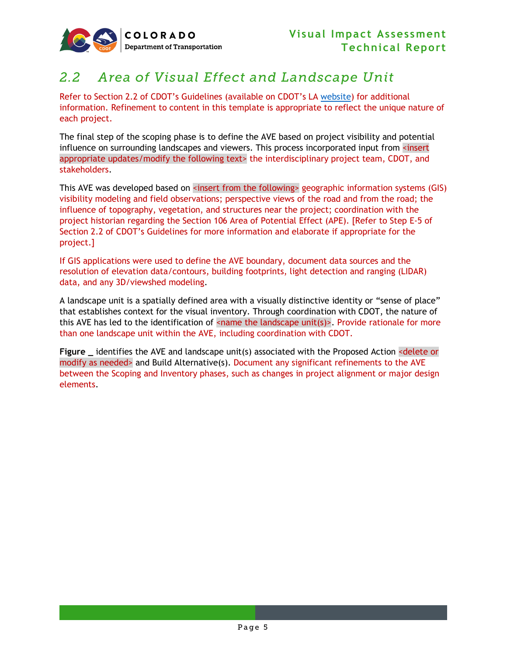

## <span id="page-8-0"></span>*2.2 Area of Visual Effect and Landscape Unit*

Refer to Section 2.2 of CDOT's Guidelines (available on CDOT's LA [website\)](https://www.codot.gov/programs/environmental/landscape-architecture) for additional information. Refinement to content in this template is appropriate to reflect the unique nature of each project.

The final step of the scoping phase is to define the AVE based on project visibility and potential influence on surrounding landscapes and viewers. This process incorporated input from <insert appropriate updates/modify the following text> the interdisciplinary project team, CDOT, and stakeholders.

This AVE was developed based on <insert from the following> geographic information systems (GIS) visibility modeling and field observations; perspective views of the road and from the road; the influence of topography, vegetation, and structures near the project; coordination with the project historian regarding the Section 106 Area of Potential Effect (APE). [Refer to Step E-5 of Section 2.2 of CDOT's Guidelines for more information and elaborate if appropriate for the project.]

If GIS applications were used to define the AVE boundary, document data sources and the resolution of elevation data/contours, building footprints, light detection and ranging (LIDAR) data, and any 3D/viewshed modeling.

A landscape unit is a spatially defined area with a visually distinctive identity or "sense of place" that establishes context for the visual inventory. Through coordination with CDOT, the nature of this AVE has led to the identification of  $\leq$  name the landscape unit(s) $\geq$ . Provide rationale for more than one landscape unit within the AVE, including coordination with CDOT.

**Figure \_** identifies the AVE and landscape unit(s) associated with the Proposed Action <delete or modify as needed> and Build Alternative(s). Document any significant refinements to the AVE between the Scoping and Inventory phases, such as changes in project alignment or major design elements.

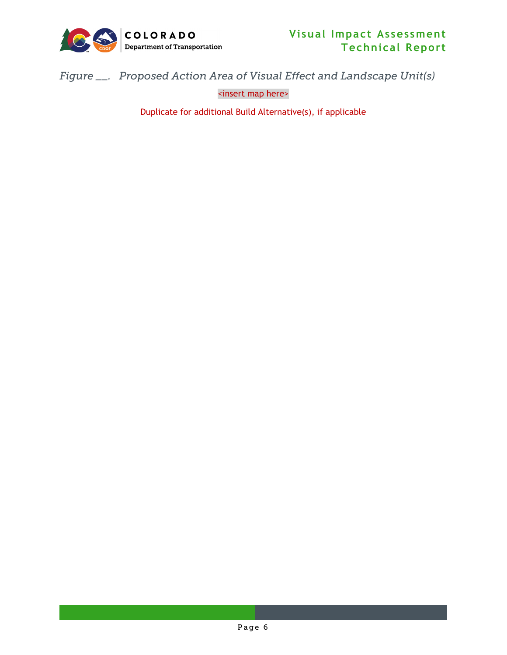

<span id="page-9-0"></span>*Figure \_\_. Proposed Action Area of Visual Effect and Landscape Unit(s)*

<insert map here>

Duplicate for additional Build Alternative(s), if applicable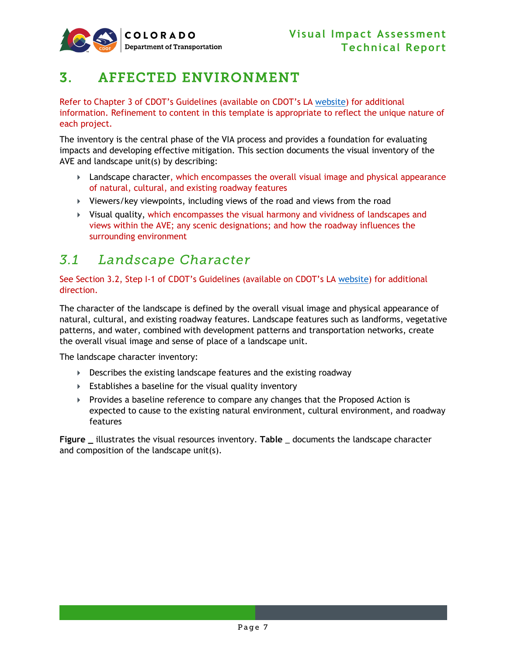

## <span id="page-10-0"></span>3. AFFECTED ENVIRONMENT

Refer to Chapter 3 of CDOT's Guidelines (available on CDOT's LA [website\)](https://www.codot.gov/programs/environmental/landscape-architecture) for additional information. Refinement to content in this template is appropriate to reflect the unique nature of each project.

The inventory is the central phase of the VIA process and provides a foundation for evaluating impacts and developing effective mitigation. This section documents the visual inventory of the AVE and landscape unit(s) by describing:

- **Landscape character, which encompasses the overall visual image and physical appearance** of natural, cultural, and existing roadway features
- Viewers/key viewpoints, including views of the road and views from the road
- $\triangleright$  Visual quality, which encompasses the visual harmony and vividness of landscapes and views within the AVE; any scenic designations; and how the roadway influences the surrounding environment

### <span id="page-10-1"></span>*3.1 Landscape Character*

See Section 3.2, Step I-1 of CDOT's Guidelines (available on CDOT's LA [website\)](https://www.codot.gov/programs/environmental/landscape-architecture) for additional direction.

The character of the landscape is defined by the overall visual image and physical appearance of natural, cultural, and existing roadway features. Landscape features such as landforms, vegetative patterns, and water, combined with development patterns and transportation networks, create the overall visual image and sense of place of a landscape unit.

The landscape character inventory:

- Describes the existing landscape features and the existing roadway
- Establishes a baseline for the visual quality inventory
- $\triangleright$  Provides a baseline reference to compare any changes that the Proposed Action is expected to cause to the existing natural environment, cultural environment, and roadway features

**Figure \_** illustrates the visual resources inventory. **Table** \_ documents the landscape character and composition of the landscape unit(s).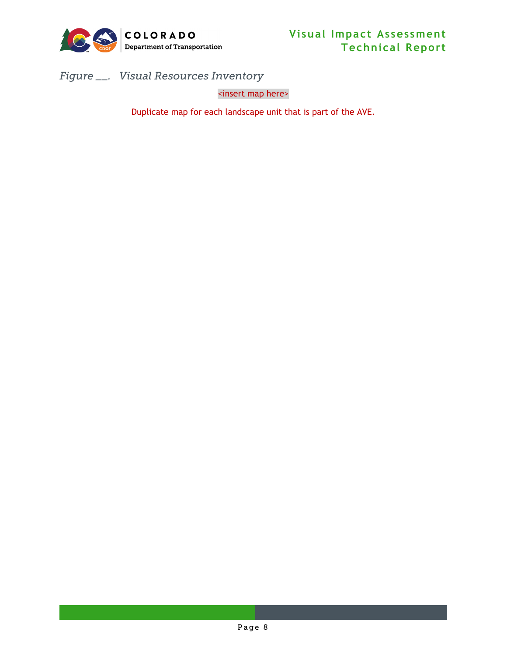

<span id="page-11-0"></span>*Figure \_\_. Visual Resources Inventory* 

<insert map here>

Duplicate map for each landscape unit that is part of the AVE.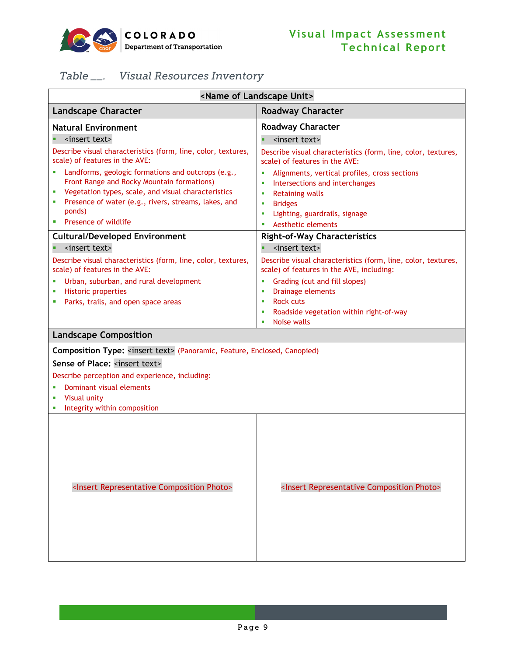

### <span id="page-12-0"></span>*Table \_\_. Visual Resources Inventory*

| <name landscape="" of="" unit=""></name>                                                                                                                                                                                                                                                                                                                                                                                                                                                                                                                                                                                                                                                                                     |                                                                                                                                                                                                                                                                                                                                                                                                                                                                                                                                                                                                                                                                                 |  |  |  |  |  |
|------------------------------------------------------------------------------------------------------------------------------------------------------------------------------------------------------------------------------------------------------------------------------------------------------------------------------------------------------------------------------------------------------------------------------------------------------------------------------------------------------------------------------------------------------------------------------------------------------------------------------------------------------------------------------------------------------------------------------|---------------------------------------------------------------------------------------------------------------------------------------------------------------------------------------------------------------------------------------------------------------------------------------------------------------------------------------------------------------------------------------------------------------------------------------------------------------------------------------------------------------------------------------------------------------------------------------------------------------------------------------------------------------------------------|--|--|--|--|--|
| <b>Landscape Character</b>                                                                                                                                                                                                                                                                                                                                                                                                                                                                                                                                                                                                                                                                                                   | <b>Roadway Character</b>                                                                                                                                                                                                                                                                                                                                                                                                                                                                                                                                                                                                                                                        |  |  |  |  |  |
| <b>Natural Environment</b><br><insert text=""><br/>Describe visual characteristics (form, line, color, textures,<br/>scale) of features in the AVE:<br/>Landforms, geologic formations and outcrops (e.g.,<br/>Front Range and Rocky Mountain formations)<br/>Vegetation types, scale, and visual characteristics<br/>Presence of water (e.g., rivers, streams, lakes, and<br/>ponds)<br/>Presence of wildlife<br/><b>Cultural/Developed Environment</b><br/><insert text=""><br/>Describe visual characteristics (form, line, color, textures,<br/>scale) of features in the AVE:<br/>Urban, suburban, and rural development<br/><b>Historic properties</b><br/>Parks, trails, and open space areas<br/>ш</insert></insert> | <b>Roadway Character</b><br><insert text=""><br/>Describe visual characteristics (form, line, color, textures,<br/>scale) of features in the AVE:<br/>Alignments, vertical profiles, cross sections<br/>×<br/>Intersections and interchanges<br/>×<br/><b>Retaining walls</b><br/>×<br/><b>Bridges</b><br/>×<br/>Lighting, guardrails, signage<br/>×<br/>Aesthetic elements<br/>п<br/><b>Right-of-Way Characteristics</b><br/><insert text=""><br/>Describe visual characteristics (form, line, color, textures,<br/>scale) of features in the AVE, including:<br/>Grading (cut and fill slopes)<br/>×<br/>Drainage elements<br/>×<br/><b>Rock cuts</b><br/>×</insert></insert> |  |  |  |  |  |
|                                                                                                                                                                                                                                                                                                                                                                                                                                                                                                                                                                                                                                                                                                                              | Roadside vegetation within right-of-way<br>п<br>Noise walls<br>٠                                                                                                                                                                                                                                                                                                                                                                                                                                                                                                                                                                                                                |  |  |  |  |  |
| <b>Landscape Composition</b>                                                                                                                                                                                                                                                                                                                                                                                                                                                                                                                                                                                                                                                                                                 |                                                                                                                                                                                                                                                                                                                                                                                                                                                                                                                                                                                                                                                                                 |  |  |  |  |  |
| Composition Type: <insert text=""> (Panoramic, Feature, Enclosed, Canopied)<br/>Sense of Place: <insert text=""><br/>Describe perception and experience, including:<br/>Dominant visual elements<br/>Visual unity<br/>Integrity within composition</insert></insert>                                                                                                                                                                                                                                                                                                                                                                                                                                                         |                                                                                                                                                                                                                                                                                                                                                                                                                                                                                                                                                                                                                                                                                 |  |  |  |  |  |
| <insert composition="" photo="" representative=""></insert>                                                                                                                                                                                                                                                                                                                                                                                                                                                                                                                                                                                                                                                                  | <insert composition="" photo="" representative=""></insert>                                                                                                                                                                                                                                                                                                                                                                                                                                                                                                                                                                                                                     |  |  |  |  |  |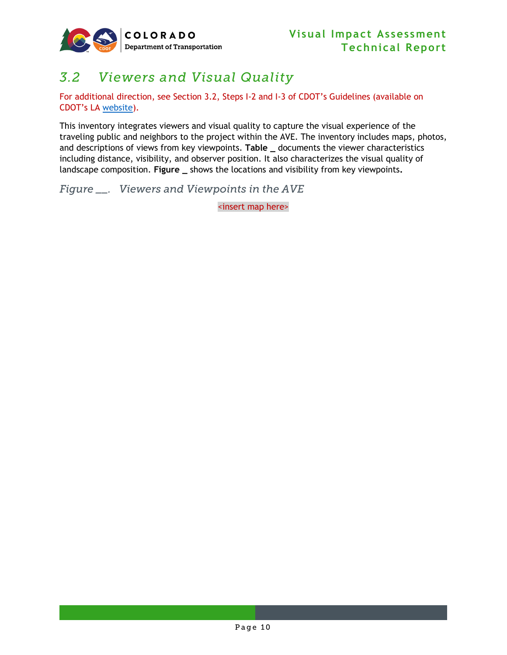

## <span id="page-13-0"></span>*3.2 Viewers and Visual Quality*

For additional direction, see Section 3.2, Steps I-2 and I-3 of CDOT's Guidelines (available on CDOT's LA [website\)](https://www.codot.gov/programs/environmental/landscape-architecture).

This inventory integrates viewers and visual quality to capture the visual experience of the traveling public and neighbors to the project within the AVE. The inventory includes maps, photos, and descriptions of views from key viewpoints. **Table \_** documents the viewer characteristics including distance, visibility, and observer position. It also characterizes the visual quality of landscape composition. **Figure \_** shows the locations and visibility from key viewpoints**.**

<span id="page-13-1"></span>*Figure \_\_. Viewers and Viewpoints in the AVE*

<insert map here>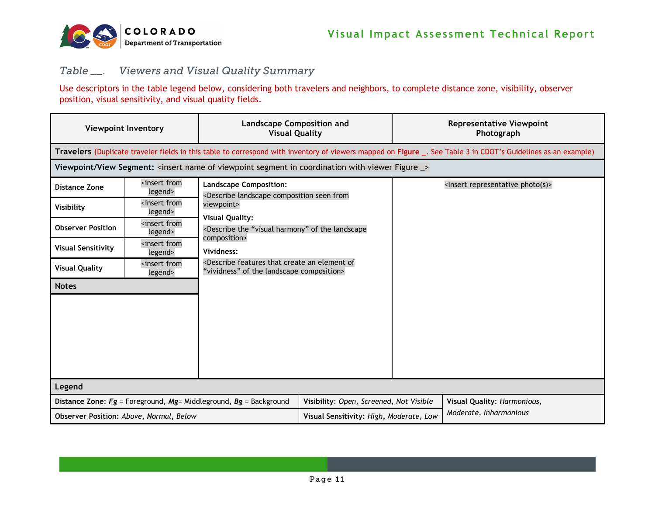

#### *Table \_\_. Viewers and Visual Quality Summary*

Use descriptors in the table legend below, considering both travelers and neighbors, to complete distance zone, visibility, observer position, visual sensitivity, and visual quality fields.

<span id="page-14-0"></span>

| <b>Viewpoint Inventory</b>              |                                                                                                                                                                      | <b>Landscape Composition and</b><br><b>Visual Quality</b>                                                                                                                           |                                                                   | <b>Representative Viewpoint</b><br>Photograph |                                                                                                                                                                |  |
|-----------------------------------------|----------------------------------------------------------------------------------------------------------------------------------------------------------------------|-------------------------------------------------------------------------------------------------------------------------------------------------------------------------------------|-------------------------------------------------------------------|-----------------------------------------------|----------------------------------------------------------------------------------------------------------------------------------------------------------------|--|
|                                         |                                                                                                                                                                      |                                                                                                                                                                                     |                                                                   |                                               | Travelers (Duplicate traveler fields in this table to correspond with inventory of viewers mapped on Figure _. See Table 3 in CDOT's Guidelines as an example) |  |
|                                         |                                                                                                                                                                      | Viewpoint/View Segment: <insert _="" coordination="" figure="" in="" name="" of="" segment="" viewer="" viewpoint="" with=""></insert>                                              |                                                                   |                                               |                                                                                                                                                                |  |
| Distance Zone                           | <insert from<br="">legend&gt;</insert>                                                                                                                               | <b>Landscape Composition:</b><br><describe composition="" from<="" landscape="" seen="" td=""><td></td><td></td><td><lnsert photo(s)="" representative=""></lnsert></td></describe> |                                                                   |                                               | <lnsert photo(s)="" representative=""></lnsert>                                                                                                                |  |
| Visibility                              | <insert from<br="">legend&gt;</insert>                                                                                                                               | viewpoint>                                                                                                                                                                          |                                                                   |                                               |                                                                                                                                                                |  |
| <b>Observer Position</b>                | <insert from<br="">legend&gt;</insert>                                                                                                                               | <b>Visual Quality:</b><br><describe "visual="" harmony"="" landscape<="" of="" td="" the=""><td></td><td></td><td></td></describe>                                                  |                                                                   |                                               |                                                                                                                                                                |  |
| <b>Visual Sensitivity</b>               | <insert from<br="">legend&gt;</insert>                                                                                                                               | composition><br>Vividness:                                                                                                                                                          |                                                                   |                                               |                                                                                                                                                                |  |
| <b>Visual Quality</b>                   | <describe an="" create="" element="" features="" of<br="" that=""><insert from<br="">"vividness" of the landscape composition&gt;<br/>legend&gt;</insert></describe> |                                                                                                                                                                                     |                                                                   |                                               |                                                                                                                                                                |  |
| <b>Notes</b>                            |                                                                                                                                                                      |                                                                                                                                                                                     |                                                                   |                                               |                                                                                                                                                                |  |
|                                         |                                                                                                                                                                      |                                                                                                                                                                                     |                                                                   |                                               |                                                                                                                                                                |  |
|                                         |                                                                                                                                                                      |                                                                                                                                                                                     |                                                                   |                                               |                                                                                                                                                                |  |
|                                         |                                                                                                                                                                      |                                                                                                                                                                                     |                                                                   |                                               |                                                                                                                                                                |  |
|                                         |                                                                                                                                                                      |                                                                                                                                                                                     |                                                                   |                                               |                                                                                                                                                                |  |
| Legend                                  |                                                                                                                                                                      |                                                                                                                                                                                     |                                                                   |                                               |                                                                                                                                                                |  |
|                                         |                                                                                                                                                                      | Distance Zone: $Fg$ = Foreground, Mg= Middleground, Bg = Background                                                                                                                 | Visibility: Open, Screened, Not Visible                           |                                               | Visual Quality: Harmonious,                                                                                                                                    |  |
| Observer Position: Above, Normal, Below |                                                                                                                                                                      |                                                                                                                                                                                     | Moderate, Inharmonious<br>Visual Sensitivity: High, Moderate, Low |                                               |                                                                                                                                                                |  |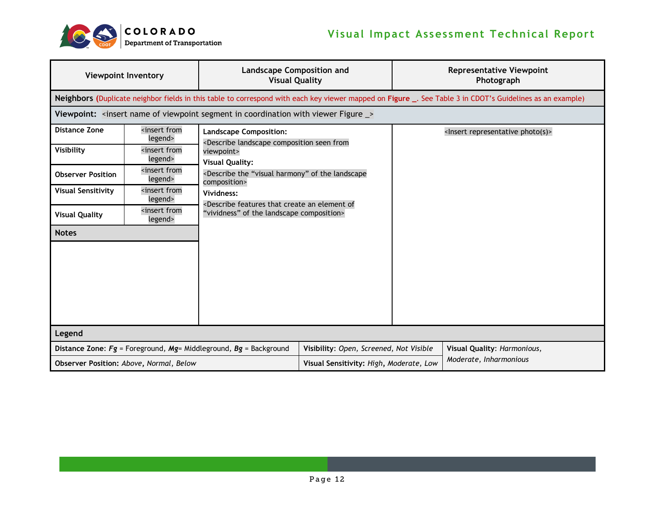

| <b>Viewpoint Inventory</b> |                                         | <b>Landscape Composition and</b><br><b>Visual Quality</b>                                                                                                                           |                                         |  | <b>Representative Viewpoint</b><br>Photograph                                                                                                             |  |
|----------------------------|-----------------------------------------|-------------------------------------------------------------------------------------------------------------------------------------------------------------------------------------|-----------------------------------------|--|-----------------------------------------------------------------------------------------------------------------------------------------------------------|--|
|                            |                                         |                                                                                                                                                                                     |                                         |  | Neighbors (Duplicate neighbor fields in this table to correspond with each key viewer mapped on Figure _. See Table 3 in CDOT's Guidelines as an example) |  |
|                            |                                         | Viewpoint: <insert _="" coordination="" figure="" in="" name="" of="" segment="" viewer="" viewpoint="" with=""></insert>                                                           |                                         |  |                                                                                                                                                           |  |
| <b>Distance Zone</b>       | <insert from<br="">legend&gt;</insert>  | <b>Landscape Composition:</b><br><describe composition="" from<="" landscape="" seen="" td=""><td></td><td></td><td><lnsert photo(s)="" representative=""></lnsert></td></describe> |                                         |  | <lnsert photo(s)="" representative=""></lnsert>                                                                                                           |  |
| Visibility                 | <insert from<br="">legend&gt;</insert>  | viewpoint><br><b>Visual Quality:</b>                                                                                                                                                |                                         |  |                                                                                                                                                           |  |
| <b>Observer Position</b>   | insert from<br>legend>                  | <describe "visual="" harmony"="" landscape<br="" of="" the="">composition&gt;</describe>                                                                                            |                                         |  |                                                                                                                                                           |  |
| <b>Visual Sensitivity</b>  | insert from<br>legend>                  | <describe an="" create="" element="" features="" of<="" td="" that=""><td></td><td></td></describe>                                                                                 |                                         |  |                                                                                                                                                           |  |
| <b>Visual Quality</b>      | <insert from<br="">legend&gt;</insert>  | "vividness" of the landscape composition>                                                                                                                                           |                                         |  |                                                                                                                                                           |  |
| <b>Notes</b>               |                                         |                                                                                                                                                                                     |                                         |  |                                                                                                                                                           |  |
| Legend                     |                                         |                                                                                                                                                                                     |                                         |  |                                                                                                                                                           |  |
|                            |                                         | Distance Zone: $Fg =$ Foreground, Mg= Middleground, Bg = Background                                                                                                                 | Visibility: Open, Screened, Not Visible |  | Visual Quality: Harmonious,<br>Moderate, Inharmonious                                                                                                     |  |
|                            | Observer Position: Above, Normal, Below |                                                                                                                                                                                     | Visual Sensitivity: High, Moderate, Low |  |                                                                                                                                                           |  |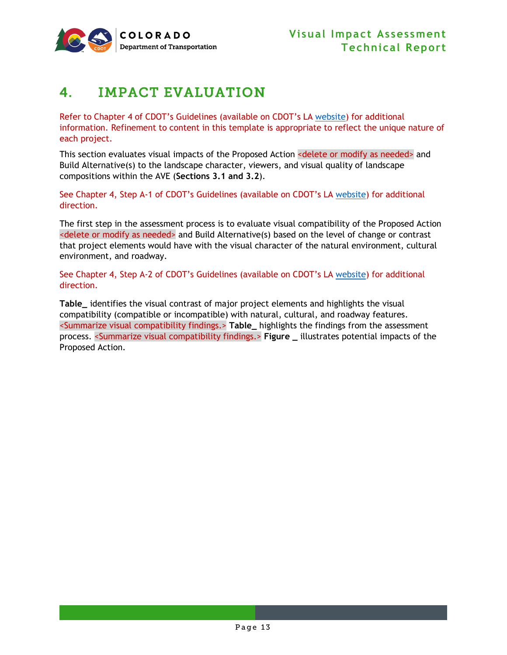

## <span id="page-16-0"></span>4. IMPACT EVALUATION

Refer to Chapter 4 of CDOT's Guidelines (available on CDOT's LA [website\)](https://www.codot.gov/programs/environmental/landscape-architecture) for additional information. Refinement to content in this template is appropriate to reflect the unique nature of each project.

This section evaluates visual impacts of the Proposed Action <delete or modify as needed> and Build Alternative(s) to the landscape character, viewers, and visual quality of landscape compositions within the AVE (**Sections [3.1](#page-10-1) and [3.2](#page-13-0)**).

See Chapter 4, Step A-1 of CDOT's Guidelines (available on CDOT's LA [website\)](https://www.codot.gov/programs/environmental/landscape-architecture) for additional direction.

The first step in the assessment process is to evaluate visual compatibility of the Proposed Action <delete or modify as needed> and Build Alternative(s) based on the level of change or contrast that project elements would have with the visual character of the natural environment, cultural environment, and roadway.

See Chapter 4, Step A-2 of CDOT's Guidelines (available on CDOT's LA [website\)](https://www.codot.gov/programs/environmental/landscape-architecture) for additional direction.

**Table\_** identifies the visual contrast of major project elements and highlights the visual compatibility (compatible or incompatible) with natural, cultural, and roadway features. <Summarize visual compatibility findings.> **Table\_** highlights the findings from the assessment process. <Summarize visual compatibility findings.> **Figure \_** illustrates potential impacts of the Proposed Action.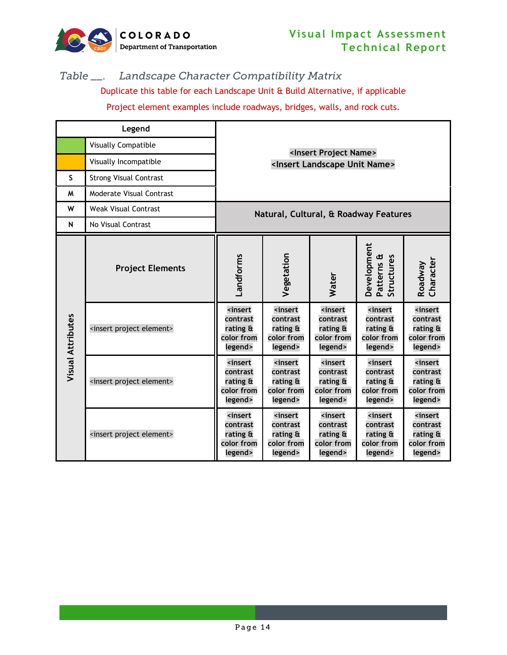

#### *Table \_\_. Landscape Character Compatibility Matrix*

Duplicate this table for each Landscape Unit & Build Alternative, if applicable Project element examples include roadways, bridges, walls, and rock cuts.

|                          | Legend                                  |                                                                                         |                                                                                |                                                                                             |                                                                                |                                                                                |
|--------------------------|-----------------------------------------|-----------------------------------------------------------------------------------------|--------------------------------------------------------------------------------|---------------------------------------------------------------------------------------------|--------------------------------------------------------------------------------|--------------------------------------------------------------------------------|
|                          | <b>Visually Compatible</b>              |                                                                                         |                                                                                |                                                                                             |                                                                                |                                                                                |
|                          | Visually Incompatible                   | <insert name="" project=""><br/><insert landscape="" name="" unit=""></insert></insert> |                                                                                |                                                                                             |                                                                                |                                                                                |
| S                        | <b>Strong Visual Contrast</b>           |                                                                                         |                                                                                |                                                                                             |                                                                                |                                                                                |
| M                        | Moderate Visual Contrast                |                                                                                         |                                                                                |                                                                                             |                                                                                |                                                                                |
| W                        | <b>Weak Visual Contrast</b>             |                                                                                         |                                                                                |                                                                                             | Natural, Cultural, & Roadway Features                                          |                                                                                |
| $\mathsf{N}$             | No Visual Contrast                      |                                                                                         |                                                                                |                                                                                             |                                                                                |                                                                                |
|                          | <b>Project Elements</b>                 | Landforms                                                                               | Vegetation                                                                     | Water                                                                                       | <b>Development</b><br>Patterns &<br>Structures                                 | Roadway<br>Character                                                           |
| <b>Visual Attributes</b> | <insert element="" project=""></insert> | <insert<br>contrast<br/>rating &amp;<br/>color from<br/>legend&gt;</insert<br>          | <insert<br>contrast<br/>rating &amp;<br/>color from<br/>legend&gt;</insert<br> | <b><insert< b=""><br/>contrast<br/>rating &amp;<br/>color from<br/>legend&gt;</insert<></b> | <insert<br>contrast<br/>rating &amp;<br/>color from<br/>legend&gt;</insert<br> | <insert<br>contrast<br/>rating &amp;<br/>color from<br/>legend&gt;</insert<br> |
|                          | <insert element="" project=""></insert> | <insert<br>contrast<br/>rating &amp;<br/>color from<br/>legend&gt;</insert<br>          | <insert<br>contrast<br/>rating &amp;<br/>color from<br/>legend&gt;</insert<br> | <insert<br>contrast<br/>rating &amp;<br/>color from<br/>legend&gt;</insert<br>              | <insert<br>contrast<br/>rating &amp;<br/>color from<br/>legend&gt;</insert<br> | <insert<br>contrast<br/>rating &amp;<br/>color from<br/>legend&gt;</insert<br> |
|                          | <insert element="" project=""></insert> | <insert<br>contrast<br/>rating &amp;<br/>color from<br/>legend&gt;</insert<br>          | <insert<br>contrast<br/>rating &amp;<br/>color from<br/>legend&gt;</insert<br> | <b><insert< b=""><br/>contrast<br/>rating &amp;<br/>color from<br/>legend&gt;</insert<></b> | <insert<br>contrast<br/>rating &amp;<br/>color from<br/>legend&gt;</insert<br> | <b>sinsert</b><br>contrast<br>rating &<br>color from<br>legend>                |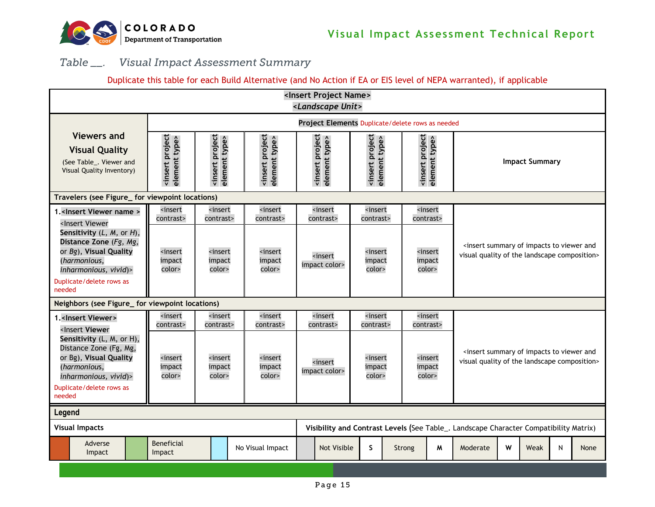

#### *Table \_\_. Visual Impact Assessment Summary*

#### Duplicate this table for each Build Alternative (and No Action if EA or EIS level of NEPA warranted), if applicable

<span id="page-18-0"></span>

| <insert name="" project=""><br/><landscape unit=""></landscape></insert>                                                                                                                                                                                                                                                                                                                            |                                                 |                                                  |                                                 |                                                 |                                                 |        |                                                                |                                                                                                                        |   |                       |   |      |
|-----------------------------------------------------------------------------------------------------------------------------------------------------------------------------------------------------------------------------------------------------------------------------------------------------------------------------------------------------------------------------------------------------|-------------------------------------------------|--------------------------------------------------|-------------------------------------------------|-------------------------------------------------|-------------------------------------------------|--------|----------------------------------------------------------------|------------------------------------------------------------------------------------------------------------------------|---|-----------------------|---|------|
|                                                                                                                                                                                                                                                                                                                                                                                                     |                                                 | Project Elements Duplicate/delete rows as needed |                                                 |                                                 |                                                 |        |                                                                |                                                                                                                        |   |                       |   |      |
| <b>Viewers and</b><br><b>Visual Quality</b><br>(See Table . Viewer and<br>Visual Quality Inventory)                                                                                                                                                                                                                                                                                                 | <insert project<br="">element type&gt;</insert> | <insert project<br="">element type&gt;</insert>  | <insert project<br="">element type&gt;</insert> | <insert project<br="">element type&gt;</insert> | <insert project<br="">element type&gt;</insert> |        | <b><insert b="" project<=""><br/>element type&gt;</insert></b> |                                                                                                                        |   | <b>Impact Summary</b> |   |      |
| Travelers (see Figure_ for viewpoint locations)                                                                                                                                                                                                                                                                                                                                                     |                                                 |                                                  |                                                 |                                                 |                                                 |        |                                                                |                                                                                                                        |   |                       |   |      |
| 1. <insert name="" viewer=""></insert>                                                                                                                                                                                                                                                                                                                                                              | <insert<br>contrast&gt;</insert<br>             | <insert<br>contrast&gt;</insert<br>              | <insert<br>contrast&gt;</insert<br>             | <insert<br>contrast&gt;</insert<br>             | <insert<br>contrast&gt;</insert<br>             |        | <insert<br>contrast&gt;</insert<br>                            |                                                                                                                        |   |                       |   |      |
| <insert viewer<br="">Sensitivity (L, M, or H),<br/>Distance Zone (Fg, Mg,<br/>or Bg), Visual Quality<br/>(harmonious,<br/>inharmonious, vivid)&gt;<br/>Duplicate/delete rows as<br/>needed</insert>                                                                                                                                                                                                 | <insert<br>impact<br/>color&gt;</insert<br>     | <insert<br>impact<br/>color&gt;</insert<br>      | <insert<br>impact<br/>color&gt;</insert<br>     | <insert<br>impact color&gt;</insert<br>         | <insert<br>impact<br/>color&gt;</insert<br>     |        | <insert<br>impact<br/>color&gt;</insert<br>                    | <insert and<br="" impacts="" of="" summary="" to="" viewer="">visual quality of the landscape composition&gt;</insert> |   |                       |   |      |
| Neighbors (see Figure_ for viewpoint locations)                                                                                                                                                                                                                                                                                                                                                     |                                                 |                                                  |                                                 |                                                 |                                                 |        |                                                                |                                                                                                                        |   |                       |   |      |
| 1. <insert viewer=""><br/><insert td="" viewer<=""><td><insert<br>contrast&gt;</insert<br></td><td><insert<br>contrast&gt;</insert<br></td><td><insert<br>contrast&gt;</insert<br></td><td><insert<br>contrast&gt;</insert<br></td><td><insert<br>contrast&gt;</insert<br></td><td></td><td><insert<br>contrast&gt;</insert<br></td><td></td><td></td><td></td><td></td><td></td></insert></insert> | <insert<br>contrast&gt;</insert<br>             | <insert<br>contrast&gt;</insert<br>              | <insert<br>contrast&gt;</insert<br>             | <insert<br>contrast&gt;</insert<br>             | <insert<br>contrast&gt;</insert<br>             |        | <insert<br>contrast&gt;</insert<br>                            |                                                                                                                        |   |                       |   |      |
| Sensitivity (L, M, or H),<br>Distance Zone (Fg, Mg,<br>or Bg), Visual Quality<br>(harmonious,<br>inharmonious, vivid)><br>Duplicate/delete rows as<br>needed                                                                                                                                                                                                                                        | <insert<br>impact<br/>color&gt;</insert<br>     | <insert<br>impact<br/>color&gt;</insert<br>      | <insert<br>impact<br/>color&gt;</insert<br>     | <insert<br>impact color&gt;</insert<br>         | <insert<br>impact<br/>color&gt;</insert<br>     |        | <insert<br>impact<br/>color&gt;</insert<br>                    | <insert and<br="" impacts="" of="" summary="" to="" viewer="">visual quality of the landscape composition&gt;</insert> |   |                       |   |      |
| Legend                                                                                                                                                                                                                                                                                                                                                                                              |                                                 |                                                  |                                                 |                                                 |                                                 |        |                                                                |                                                                                                                        |   |                       |   |      |
| <b>Visual Impacts</b>                                                                                                                                                                                                                                                                                                                                                                               |                                                 |                                                  |                                                 |                                                 |                                                 |        |                                                                | Visibility and Contrast Levels (See Table_. Landscape Character Compatibility Matrix)                                  |   |                       |   |      |
| Adverse<br>Impact                                                                                                                                                                                                                                                                                                                                                                                   | <b>Beneficial</b><br>Impact                     |                                                  | No Visual Impact                                | <b>Not Visible</b>                              | S                                               | Strong | M                                                              | Moderate                                                                                                               | w | Weak                  | N | None |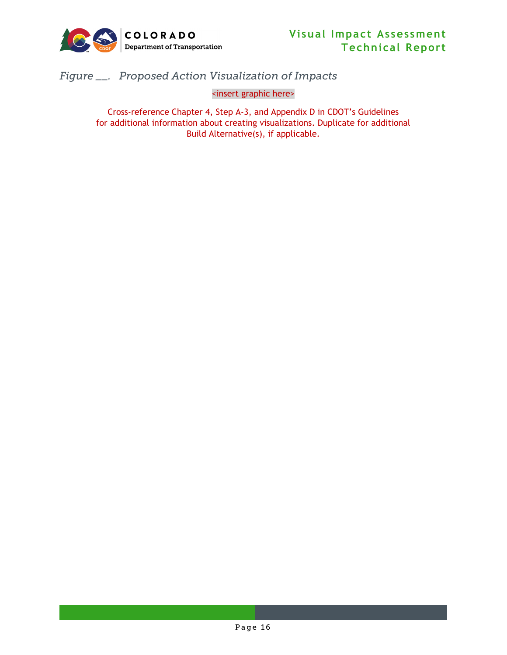

<span id="page-19-0"></span>*Figure \_\_. Proposed Action Visualization of Impacts*

<insert graphic here>

Cross-reference Chapter 4, Step A-3, and Appendix D in CDOT's Guidelines for additional information about creating visualizations. Duplicate for additional Build Alternative(s), if applicable.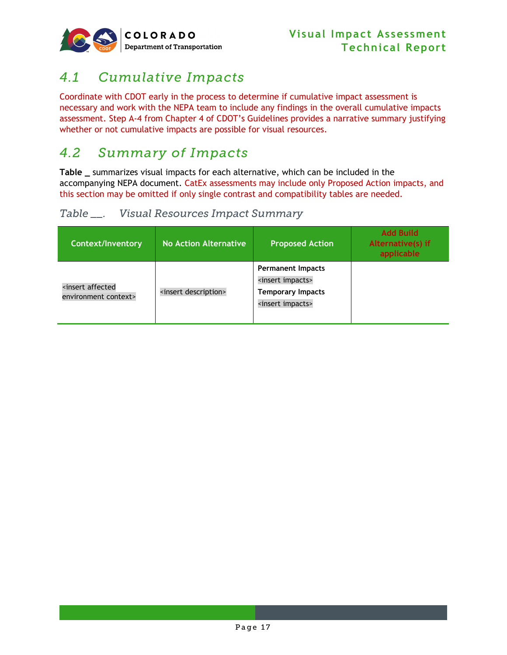

## <span id="page-20-0"></span>*4.1 Cumulative Impacts*

Coordinate with CDOT early in the process to determine if cumulative impact assessment is necessary and work with the NEPA team to include any findings in the overall cumulative impacts assessment. Step A-4 from Chapter 4 of CDOT's Guidelines provides a narrative summary justifying whether or not cumulative impacts are possible for visual resources.

### <span id="page-20-1"></span>*4.2 Summary of Impacts*

**Table \_** summarizes visual impacts for each alternative, which can be included in the accompanying NEPA document. CatEx assessments may include only Proposed Action impacts, and this section may be omitted if only single contrast and compatibility tables are needed.

#### <span id="page-20-2"></span>*Table \_\_. Visual Resources Impact Summary*

| <b>Context/Inventory</b>                 | <b>No Action Alternative</b>     | <b>Proposed Action</b>                                                                                                 | <b>Add Build</b><br>Alternative(s) if<br>applicable |
|------------------------------------------|----------------------------------|------------------------------------------------------------------------------------------------------------------------|-----------------------------------------------------|
| sinsert affected<br>environment context> | <insert description=""></insert> | <b>Permanent Impacts</b><br><insert impacts=""><br/><b>Temporary Impacts</b><br/><insert impacts=""></insert></insert> |                                                     |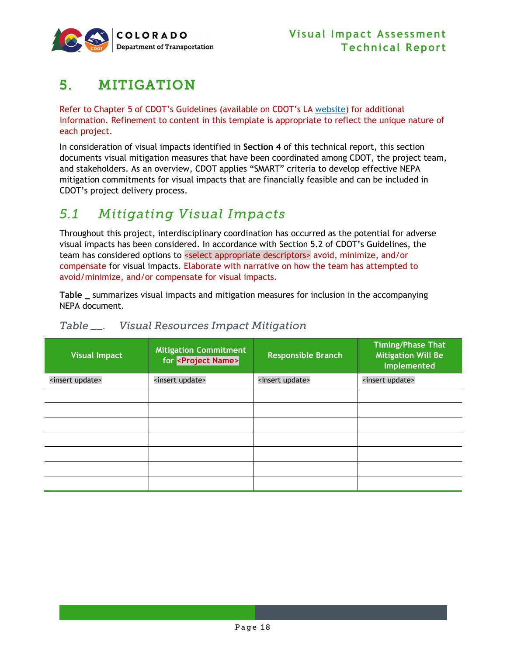

## <span id="page-21-0"></span>5. MITIGATION

Refer to Chapter 5 of CDOT's Guidelines (available on CDOT's LA [website\)](https://www.codot.gov/programs/environmental/landscape-architecture) for additional information. Refinement to content in this template is appropriate to reflect the unique nature of each project.

In consideration of visual impacts identified in **Section [4](#page-16-0)** of this technical report, this section documents visual mitigation measures that have been coordinated among CDOT, the project team, and stakeholders. As an overview, CDOT applies "SMART" criteria to develop effective NEPA mitigation commitments for visual impacts that are financially feasible and can be included in CDOT's project delivery process.

## <span id="page-21-1"></span>*5.1 Mitigating Visual Impacts*

Throughout this project, interdisciplinary coordination has occurred as the potential for adverse visual impacts has been considered. In accordance with Section 5.2 of CDOT's Guidelines, the team has considered options to <select appropriate descriptors> avoid, minimize, and/or compensate for visual impacts. Elaborate with narrative on how the team has attempted to avoid/minimize, and/or compensate for visual impacts.

**Table \_** summarizes visual impacts and mitigation measures for inclusion in the accompanying NEPA document.

| Visual Impact               | <b>Mitigation Commitment</b><br>for <project name=""></project> | <b>Responsible Branch</b>   | <b>Timing/Phase That</b><br><b>Mitigation Will Be</b><br>Implemented |
|-----------------------------|-----------------------------------------------------------------|-----------------------------|----------------------------------------------------------------------|
| <insert update=""></insert> | <insert update=""></insert>                                     | <insert update=""></insert> | <insert update=""></insert>                                          |
|                             |                                                                 |                             |                                                                      |
|                             |                                                                 |                             |                                                                      |
|                             |                                                                 |                             |                                                                      |
|                             |                                                                 |                             |                                                                      |
|                             |                                                                 |                             |                                                                      |
|                             |                                                                 |                             |                                                                      |
|                             |                                                                 |                             |                                                                      |

#### <span id="page-21-2"></span>*Table \_\_. Visual Resources Impact Mitigation*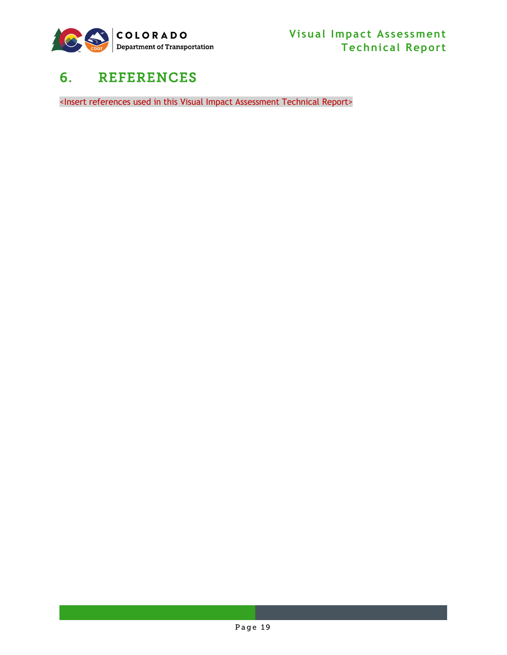

## <span id="page-22-0"></span>6. REFERENCES

<Insert references used in this Visual Impact Assessment Technical Report>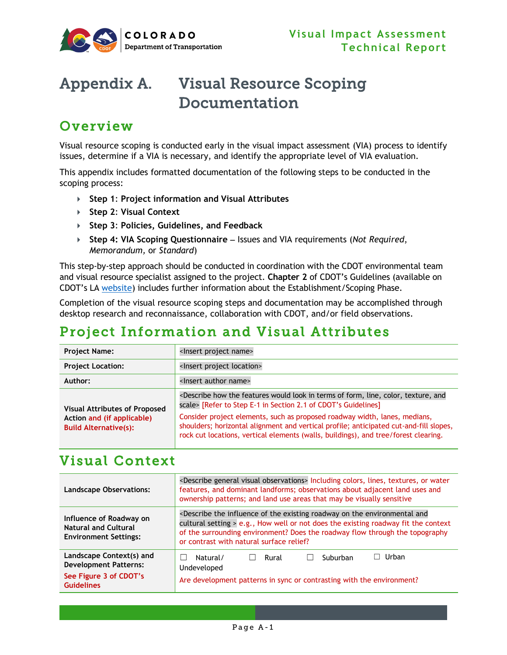

## <span id="page-23-0"></span>Appendix A. Visual Resource Scoping Documentation

## Overview

Visual resource scoping is conducted early in the visual impact assessment (VIA) process to identify issues, determine if a VIA is necessary, and identify the appropriate level of VIA evaluation.

This appendix includes formatted documentation of the following steps to be conducted in the scoping process:

- **Step 1**: **Project information and Visual Attributes**
- **Step 2**: **Visual Context**
- **Step 3**: **Policies, Guidelines, and Feedback**
- **Step 4: VIA Scoping Questionnaire** − Issues and VIA requirements (*Not Required*, *Memorandum,* or *Standard*)

This step-by-step approach should be conducted in coordination with the CDOT environmental team and visual resource specialist assigned to the project. **Chapter 2** of CDOT's Guidelines (available on CDOT's LA [website\)](https://www.codot.gov/programs/environmental/landscape-architecture) includes further information about the Establishment/Scoping Phase.

Completion of the visual resource scoping steps and documentation may be accomplished through desktop research and reconnaissance, collaboration with CDOT, and/or field observations.

## Project Information and Visual Attributes

| <b>Project Name:</b>                                                                               | <lnsert name="" project=""></lnsert>                                                                                                                                                                                                                                                                                                                                                                                                                                       |
|----------------------------------------------------------------------------------------------------|----------------------------------------------------------------------------------------------------------------------------------------------------------------------------------------------------------------------------------------------------------------------------------------------------------------------------------------------------------------------------------------------------------------------------------------------------------------------------|
| <b>Project Location:</b>                                                                           | <lnsert location="" project=""></lnsert>                                                                                                                                                                                                                                                                                                                                                                                                                                   |
| Author:                                                                                            | <lnsert author="" name=""></lnsert>                                                                                                                                                                                                                                                                                                                                                                                                                                        |
| <b>Visual Attributes of Proposed</b><br>Action and (if applicable)<br><b>Build Alternative(s):</b> | <describe and<br="" color,="" features="" form,="" how="" in="" line,="" look="" of="" terms="" texture,="" the="" would="">scale&gt; [Refer to Step E-1 in Section 2.1 of CDOT's Guidelines]<br/>Consider project elements, such as proposed roadway width, lanes, medians,<br/>shoulders; horizontal alignment and vertical profile; anticipated cut-and-fill slopes,<br/>rock cut locations, vertical elements (walls, buildings), and tree/forest clearing.</describe> |

### Visual Context

| <b>Landscape Observations:</b>                                                                          | <describe general="" observations="" visual=""> Including colors, lines, textures, or water<br/>features, and dominant landforms; observations about adjacent land uses and<br/>ownership patterns; and land use areas that may be visually sensitive</describe>                                                           |
|---------------------------------------------------------------------------------------------------------|----------------------------------------------------------------------------------------------------------------------------------------------------------------------------------------------------------------------------------------------------------------------------------------------------------------------------|
| Influence of Roadway on<br><b>Natural and Cultural</b><br><b>Environment Settings:</b>                  | <describe and<br="" environmental="" existing="" influence="" of="" on="" roadway="" the="">cultural setting &gt; e.g., How well or not does the existing roadway fit the context<br/>of the surrounding environment? Does the roadway flow through the topography<br/>or contrast with natural surface relief?</describe> |
| Landscape Context(s) and<br><b>Development Patterns:</b><br>See Figure 3 of CDOT's<br><b>Guidelines</b> | Urban<br>Natural/<br>Suburban<br>Rural<br>Undeveloped<br>Are development patterns in sync or contrasting with the environment?                                                                                                                                                                                             |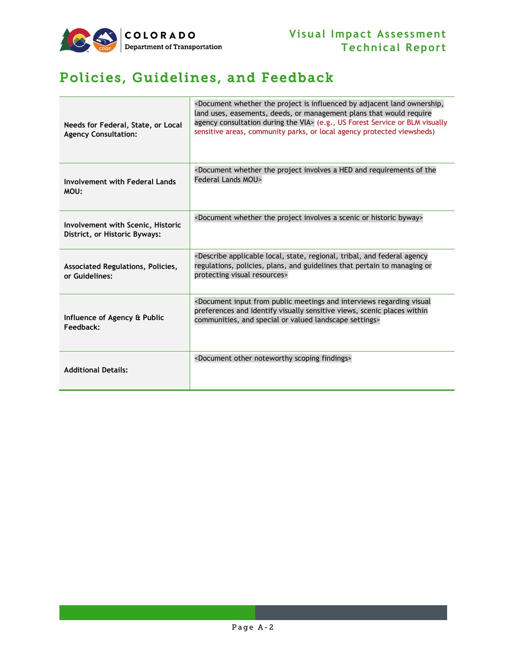

## Policies, Guidelines, and Feedback

| Needs for Federal, State, or Local<br><b>Agency Consultation:</b>  | <document adjacent="" by="" influenced="" is="" land="" ownership,<br="" project="" the="" whether="">land uses, easements, deeds, or management plans that would require<br/>agency consultation during the VIA&gt; (e.g., US Forest Service or BLM visually<br/>sensitive areas, community parks, or local agency protected viewsheds)</document> |
|--------------------------------------------------------------------|-----------------------------------------------------------------------------------------------------------------------------------------------------------------------------------------------------------------------------------------------------------------------------------------------------------------------------------------------------|
| Involvement with Federal Lands<br>MOU:                             | <document a="" and="" hed="" involves="" of="" project="" requirements="" the="" the<br="" whether=""><b>Federal Lands MOU&gt;</b></document>                                                                                                                                                                                                       |
| Involvement with Scenic, Historic<br>District, or Historic Byways: | <document a="" byway="" historic="" involves="" or="" project="" scenic="" the="" whether=""></document>                                                                                                                                                                                                                                            |
| Associated Regulations, Policies,<br>or Guidelines:                | <describe agency<br="" and="" applicable="" federal="" local,="" regional,="" state,="" tribal,="">regulations, policies, plans, and guidelines that pertain to managing or<br/>protecting visual resources&gt;</describe>                                                                                                                          |
| Influence of Agency & Public<br>Feedback:                          | <document and="" from="" input="" interviews="" meetings="" public="" regarding="" visual<br="">preferences and identify visually sensitive views, scenic places within<br/>communities, and special or valued landscape settings&gt;</document>                                                                                                    |
| <b>Additional Details:</b>                                         | <document findings="" noteworthy="" other="" scoping=""></document>                                                                                                                                                                                                                                                                                 |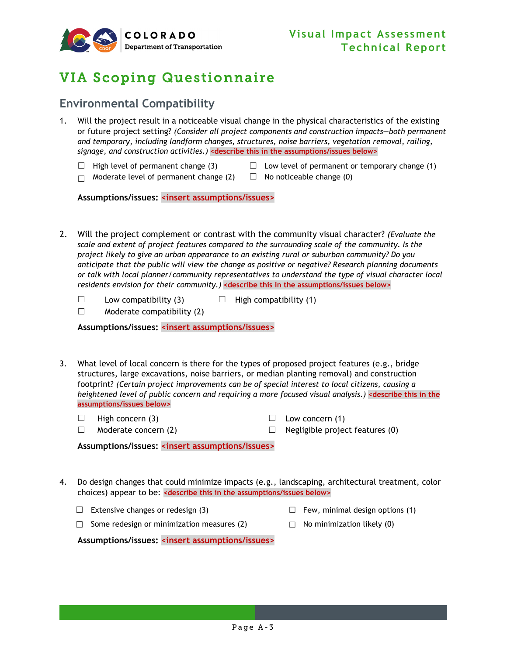

## VIA Scoping Questionnaire

#### **Environmental Compatibility**

- 1. Will the project result in a noticeable visual change in the physical characteristics of the existing or future project setting? *(Consider all project components and construction impacts—both permanent and temporary, including landform changes, structures, noise barriers, vegetation removal, railing, signage, and construction activities.)* **<describe this in the assumptions/issues below>**
	-
	- $□$  High level of permanent change (3)  $□$  Low level of permanent or temporary change (1)
	- $\Box$  Moderate level of permanent change (2)  $\Box$  No noticeable change (0)

**Assumptions/issues: <insert assumptions/issues>**

- 2. Will the project complement or contrast with the community visual character? *(Evaluate the scale and extent of project features compared to the surrounding scale of the community. Is the project likely to give an urban appearance to an existing rural or suburban community? Do you anticipate that the public will view the change as positive or negative? Research planning documents or talk with local planner/community representatives to understand the type of visual character local residents envision for their community.)* **<describe this in the assumptions/issues below>**
	- $\Box$  Low compatibility (3)  $\Box$  High compatibility (1)
	- $\Box$  Moderate compatibility (2)

**Assumptions/issues: <insert assumptions/issues>**

- 3. What level of local concern is there for the types of proposed project features (e.g., bridge structures, large excavations, noise barriers, or median planting removal) and construction footprint? *(Certain project improvements can be of special interest to local citizens, causing a heightened level of public concern and requiring a more focused visual analysis.)* **<describe this in the assumptions/issues below>**
	- $\Box$  High concern (3)  $\Box$  Low concern (1)
- - $\Box$  Moderate concern (2)  $\Box$  Negligible project features (0)
- 

**Assumptions/issues: <insert assumptions/issues>**

- 4. Do design changes that could minimize impacts (e.g., landscaping, architectural treatment, color choices) appear to be: **<describe this in the assumptions/issues below>**
	- $\Box$  Extensive changes or redesign (3)  $\Box$  Few, minimal design options (1)
- - $□$  Some redesign or minimization measures (2)  $□$  No minimization likely (0)
- 

**Assumptions/issues: <insert assumptions/issues>**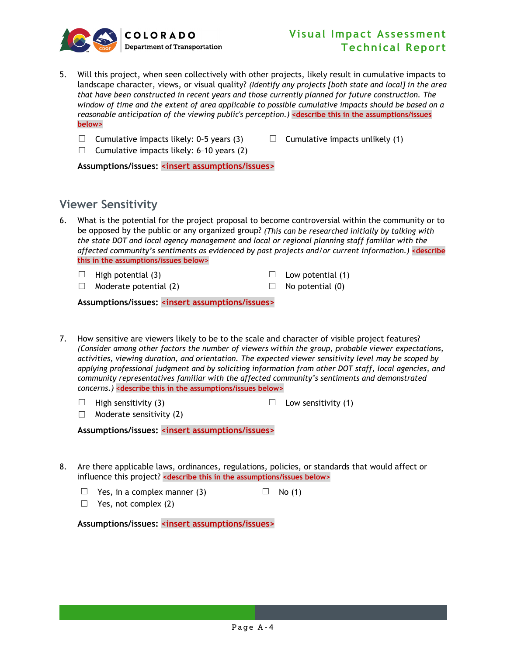

- 5. Will this project, when seen collectively with other projects, likely result in cumulative impacts to landscape character, views, or visual quality? *(Identify any projects [both state and local] in the area that have been constructed in recent years and those currently planned for future construction. The window of time and the extent of area applicable to possible cumulative impacts should be based on a reasonable anticipation of the viewing public's perception.)* **<describe this in the assumptions/issues below>**
	- □ Cumulative impacts likely: 0-5 years (3)  $□$  Cumulative impacts unlikely (1)
		-
	- $\Box$  Cumulative impacts likely: 6-10 years (2)

**Assumptions/issues: <insert assumptions/issues>**

#### **Viewer Sensitivity**

- 6. What is the potential for the project proposal to become controversial within the community or to be opposed by the public or any organized group? *(This can be researched initially by talking with the state DOT and local agency management and local or regional planning staff familiar with the affected community's sentiments as evidenced by past projects and/or current information.)* **<describe this in the assumptions/issues below>**
	- $\Box$  High potential (3)  $\Box$  Low potential (1)
		-
	- $\Box$  Moderate potential (2)  $\Box$  No potential (0)

**Assumptions/issues: <insert assumptions/issues>**

- 7. How sensitive are viewers likely to be to the scale and character of visible project features? *(Consider among other factors the number of viewers within the group, probable viewer expectations, activities, viewing duration, and orientation. The expected viewer sensitivity level may be scoped by applying professional judgment and by soliciting information from other DOT staff, local agencies, and community representatives familiar with the affected community's sentiments and demonstrated concerns.)* **<describe this in the assumptions/issues below>**
	- □ High sensitivity (3)  $□$  Low sensitivity (1)
	- $\Box$  Moderate sensitivity (2)

**Assumptions/issues: <insert assumptions/issues>**

- 8. Are there applicable laws, ordinances, regulations, policies, or standards that would affect or influence this project? **<describe this in the assumptions/issues below>**
	- $\Box$  Yes, in a complex manner (3)  $\Box$  No (1)
	- $\Box$  Yes, not complex (2)

**Assumptions/issues: <insert assumptions/issues>**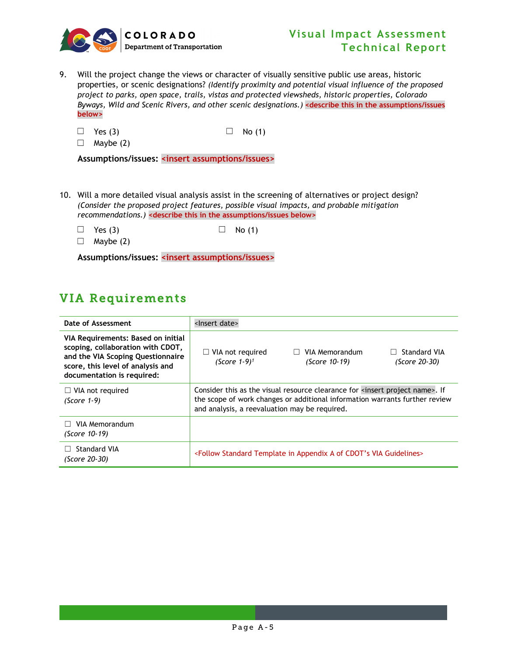

- 9. Will the project change the views or character of visually sensitive public use areas, historic properties, or scenic designations? *(Identify proximity and potential visual influence of the proposed project to parks, open space, trails, vistas and protected viewsheds, historic properties, Colorado Byways, Wild and Scenic Rivers, and other scenic designations.)* **<describe this in the assumptions/issues below>**
	- $\Box$  Yes (3)  $\Box$  No (1)

 $\Box$  Maybe (2)

**Assumptions/issues: <insert assumptions/issues>**

- 10. Will a more detailed visual analysis assist in the screening of alternatives or project design? *(Consider the proposed project features, possible visual impacts, and probable mitigation recommendations.)* **<describe this in the assumptions/issues below>**
	- $\Box$  Yes (3)  $\Box$  No (1)
	- $\Box$  Maybe (2)

**Assumptions/issues: <insert assumptions/issues>**

### VIA Requirements

| Date of Assessment                                                                                                                                                              | <lnsert date=""></lnsert>                                                                                                                                                                                    |
|---------------------------------------------------------------------------------------------------------------------------------------------------------------------------------|--------------------------------------------------------------------------------------------------------------------------------------------------------------------------------------------------------------|
| VIA Requirements: Based on initial<br>scoping, collaboration with CDOT,<br>and the VIA Scoping Questionnaire<br>score, this level of analysis and<br>documentation is required: | Standard VIA<br>$\Box$ VIA not required<br>VIA Memorandum<br>(Score $1-9$ ) <sup>1</sup><br>(Score 10-19)<br>(Score 20-30)                                                                                   |
| $\Box$ VIA not required<br>(Score 1-9)                                                                                                                                          | Consider this as the visual resource clearance for sinsert project name>. If<br>the scope of work changes or additional information warrants further review<br>and analysis, a reevaluation may be required. |
| VIA Memorandum<br>(Score 10-19)                                                                                                                                                 |                                                                                                                                                                                                              |
| Standard VIA<br>(Score 20-30)                                                                                                                                                   | <follow a="" appendix="" cdot's="" guidelines="" in="" of="" standard="" template="" via=""></follow>                                                                                                        |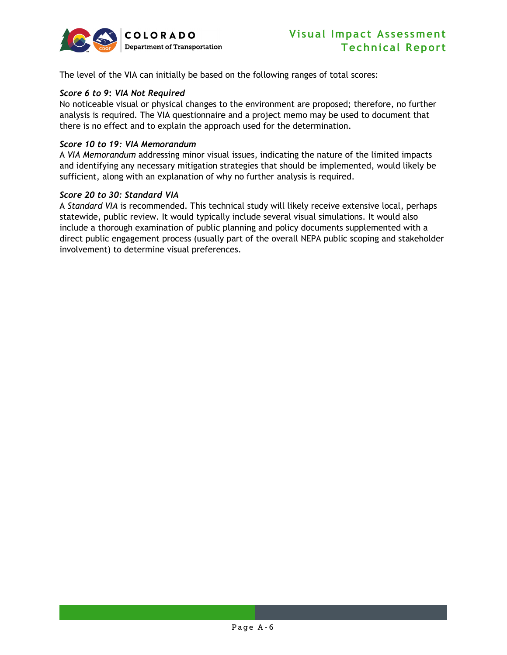

The level of the VIA can initially be based on the following ranges of total scores:

#### *Score 6 to 9***:** *VIA Not Required*

No noticeable visual or physical changes to the environment are proposed; therefore, no further analysis is required. The VIA questionnaire and a project memo may be used to document that there is no effect and to explain the approach used for the determination.

#### *Score 10 to 19: VIA Memorandum*

A *VIA Memorandum* addressing minor visual issues, indicating the nature of the limited impacts and identifying any necessary mitigation strategies that should be implemented, would likely be sufficient, along with an explanation of why no further analysis is required.

#### *Score 20 to 30: Standard VIA*

A *Standard VIA* is recommended. This technical study will likely receive extensive local, perhaps statewide, public review. It would typically include several visual simulations. It would also include a thorough examination of public planning and policy documents supplemented with a direct public engagement process (usually part of the overall NEPA public scoping and stakeholder involvement) to determine visual preferences.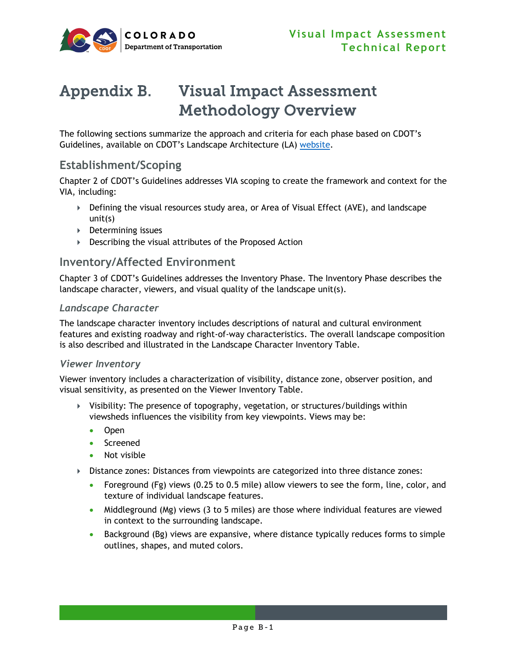

## <span id="page-29-0"></span>Appendix B. Visual Impact Assessment Methodology Overview

The following sections summarize the approach and criteria for each phase based on CDOT's Guidelines, available on CDOT's Landscape Architecture (LA) [website.](https://www.codot.gov/programs/environmental/landscape-architecture)

#### **Establishment/Scoping**

Chapter 2 of CDOT's Guidelines addresses VIA scoping to create the framework and context for the VIA, including:

- Defining the visual resources study area, or Area of Visual Effect (AVE), and landscape unit(s)
- ▶ Determining issues
- Describing the visual attributes of the Proposed Action

#### **Inventory/Affected Environment**

Chapter 3 of CDOT's Guidelines addresses the Inventory Phase. The Inventory Phase describes the landscape character, viewers, and visual quality of the landscape unit(s).

#### *Landscape Character*

The landscape character inventory includes descriptions of natural and cultural environment features and existing roadway and right-of-way characteristics. The overall landscape composition is also described and illustrated in the Landscape Character Inventory Table.

#### *Viewer Inventory*

Viewer inventory includes a characterization of visibility, distance zone, observer position, and visual sensitivity, as presented on the Viewer Inventory Table.

- $\triangleright$  Visibility: The presence of topography, vegetation, or structures/buildings within viewsheds influences the visibility from key viewpoints. Views may be:
	- Open
	- Screened
	- Not visible
- Distance zones: Distances from viewpoints are categorized into three distance zones:
	- Foreground (Fg) views (0.25 to 0.5 mile) allow viewers to see the form, line, color, and texture of individual landscape features.
	- Middleground (Mg) views (3 to 5 miles) are those where individual features are viewed in context to the surrounding landscape.
	- Background (Bg) views are expansive, where distance typically reduces forms to simple outlines, shapes, and muted colors.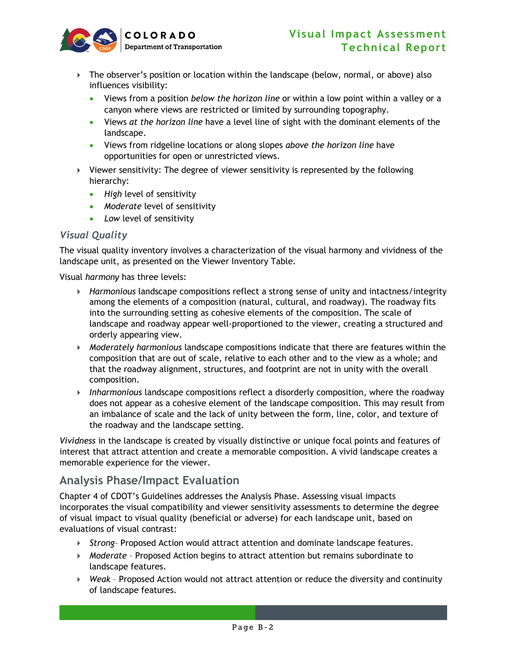

- The observer's position or location within the landscape (below, normal, or above) also influences visibility:
	- Views from a position *below the horizon line* or within a low point within a valley or a canyon where views are restricted or limited by surrounding topography.
	- Views *at the horizon line* have a level line of sight with the dominant elements of the landscape.
	- Views from ridgeline locations or along slopes *above the horizon line* have opportunities for open or unrestricted views.
- $\triangleright$  Viewer sensitivity: The degree of viewer sensitivity is represented by the following hierarchy:
	- *High* level of sensitivity
	- *Moderate* level of sensitivity
	- *Low* level of sensitivity

#### *Visual Quality*

The visual quality inventory involves a characterization of the visual harmony and vividness of the landscape unit, as presented on the Viewer Inventory Table.

Visual *harmony* has three levels:

- *Harmonious* landscape compositions reflect a strong sense of unity and intactness/integrity among the elements of a composition (natural, cultural, and roadway). The roadway fits into the surrounding setting as cohesive elements of the composition. The scale of landscape and roadway appear well-proportioned to the viewer, creating a structured and orderly appearing view.
- *Moderately harmonious* landscape compositions indicate that there are features within the composition that are out of scale, relative to each other and to the view as a whole; and that the roadway alignment, structures, and footprint are not in unity with the overall composition.
- *Inharmonious* landscape compositions reflect a disorderly composition, where the roadway does not appear as a cohesive element of the landscape composition. This may result from an imbalance of scale and the lack of unity between the form, line, color, and texture of the roadway and the landscape setting.

*Vividness* in the landscape is created by visually distinctive or unique focal points and features of interest that attract attention and create a memorable composition. A vivid landscape creates a memorable experience for the viewer.

#### **Analysis Phase/Impact Evaluation**

Chapter 4 of CDOT's Guidelines addresses the Analysis Phase. Assessing visual impacts incorporates the visual compatibility and viewer sensitivity assessments to determine the degree of visual impact to visual quality (beneficial or adverse) for each landscape unit, based on evaluations of visual contrast:

- *Strong* Proposed Action would attract attention and dominate landscape features.
- *Moderate*  Proposed Action begins to attract attention but remains subordinate to landscape features.
- *Weak* Proposed Action would not attract attention or reduce the diversity and continuity of landscape features.